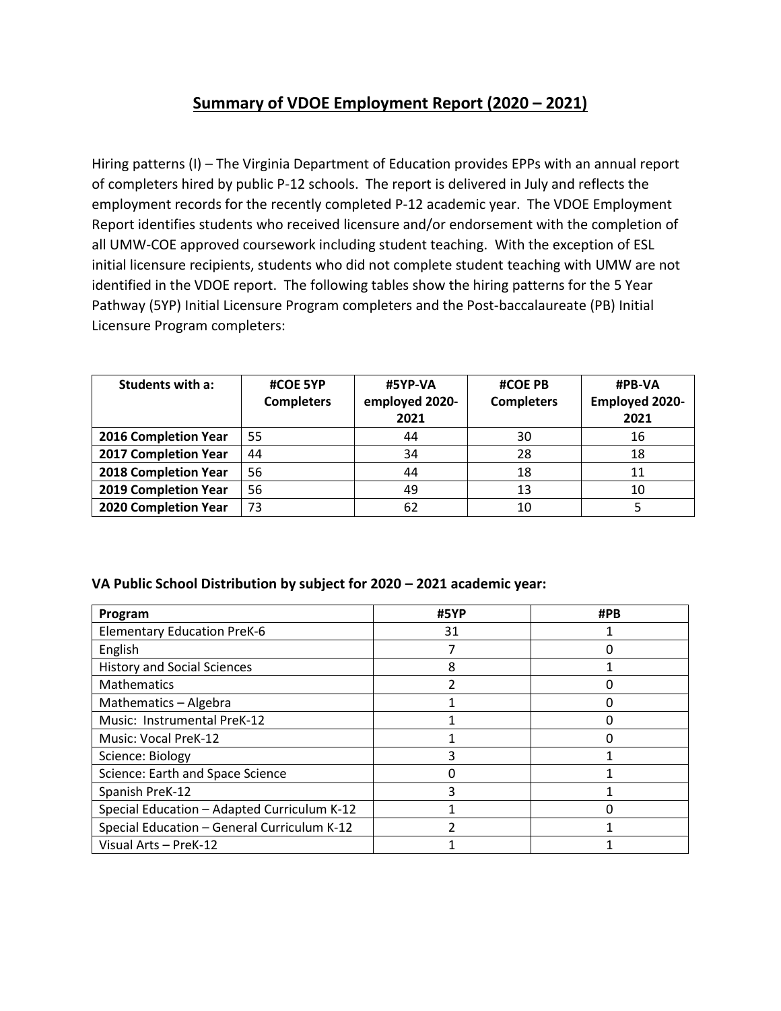## **Summary of VDOE Employment Report (2020 – 2021)**

Hiring patterns (I) – The Virginia Department of Education provides EPPs with an annual report of completers hired by public P-12 schools. The report is delivered in July and reflects the employment records for the recently completed P-12 academic year. The VDOE Employment Report identifies students who received licensure and/or endorsement with the completion of all UMW-COE approved coursework including student teaching. With the exception of ESL initial licensure recipients, students who did not complete student teaching with UMW are not identified in the VDOE report. The following tables show the hiring patterns for the 5 Year Pathway (5YP) Initial Licensure Program completers and the Post-baccalaureate (PB) Initial Licensure Program completers:

| Students with a:     | #COE 5YP<br><b>Completers</b> | #5YP-VA<br>employed 2020-<br>2021 | <b>#COE PB</b><br><b>Completers</b> | #PB-VA<br><b>Employed 2020-</b><br>2021 |
|----------------------|-------------------------------|-----------------------------------|-------------------------------------|-----------------------------------------|
| 2016 Completion Year | 55                            | 44                                | 30                                  | 16                                      |
| 2017 Completion Year | 44                            | 34                                | 28                                  | 18                                      |
| 2018 Completion Year | 56                            | 44                                | 18                                  | 11                                      |
| 2019 Completion Year | 56                            | 49                                | 13                                  | 10                                      |
| 2020 Completion Year | 73                            | 62                                | 10                                  |                                         |

## **VA Public School Distribution by subject for 2020 – 2021 academic year:**

| Program                                     | #5YP | #PB |
|---------------------------------------------|------|-----|
| <b>Elementary Education PreK-6</b>          | 31   |     |
| English                                     |      |     |
| <b>History and Social Sciences</b>          | 8    |     |
| <b>Mathematics</b>                          |      |     |
| Mathematics - Algebra                       |      |     |
| Music: Instrumental PreK-12                 |      |     |
| <b>Music: Vocal PreK-12</b>                 |      |     |
| Science: Biology                            |      |     |
| Science: Earth and Space Science            |      |     |
| Spanish PreK-12                             |      |     |
| Special Education - Adapted Curriculum K-12 |      |     |
| Special Education - General Curriculum K-12 |      |     |
| Visual Arts - PreK-12                       |      |     |